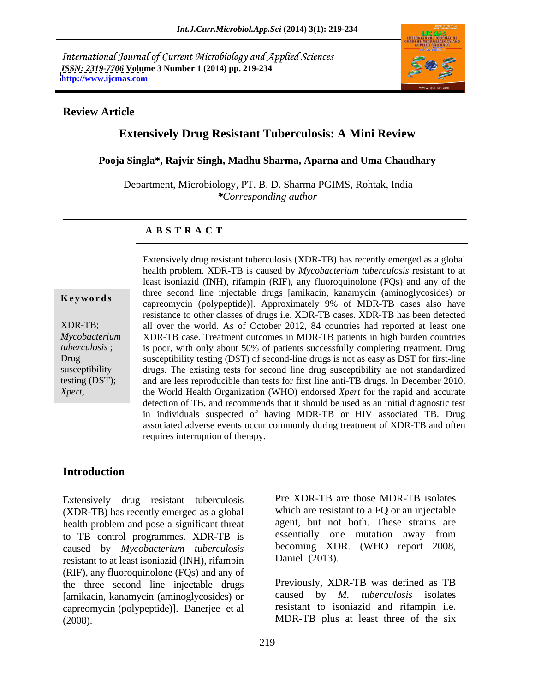International Journal of Current Microbiology and Applied Sciences *ISSN: 2319-7706* **Volume 3 Number 1 (2014) pp. 219-234 <http://www.ijcmas.com>**



## **Review Article**

# **Extensively Drug Resistant Tuberculosis: A Mini Review**

**Pooja Singla\*, Rajvir Singh, Madhu Sharma, Aparna and Uma Chaudhary**

Department, Microbiology, PT. B. D. Sharma PGIMS, Rohtak, India *\*Corresponding author* 

### **A B S T R A C T**

**Keywords** and the second the injectable drags [annivatin, KanalityCin (annivoglycosides) of capreomycin (polypeptide)]. Approximately 9% of MDR-TB cases also have XDR-TB; all over the world. As of October 2012, 84 countries had reported at least one *Mycobacterium*  XDR-TB case. Treatment outcomes in MDR-TB patients in high burden countries *tuberculosis* ; is poor, with only about 50% of patients successfully completing treatment. Drug Drug susceptibility testing (DST) of second-line drugs is not as easy as DST for first-line susceptibility drugs. The existing tests for second line drug susceptibility are not standardized testing (DST); and are less reproducible than tests for first line anti-TB drugs. In December 2010, *Xpert,* the World Health Organization (WHO) endorsed *Xpert* for the rapid and accurate Extensively drug resistant tuberculosis (XDR-TB) has recently emerged as a global health problem. XDR-TB is caused by *Mycobacterium tuberculosis* resistant to at least isoniazid (INH), rifampin (RIF), any fluoroquinolone (FQs) and any of the three second line injectable drugs [amikacin, kanamycin (aminoglycosides) or resistance to other classes of drugs i.e. XDR-TB cases. XDR-TB has been detected detection of TB, and recommends that it should be used as an initial diagnostic test in individuals suspected of having MDR-TB or HIV associated TB. Drug associated adverse events occur commonly during treatment of XDR-TB and often requires interruption of therapy.

# **Introduction**

Extensively drug resistant tuberculosis (XDR-TB) has recently emerged as a global health problem and pose a significant threat to TB control programmes. XDR-TB is caused by *Mycobacterium tuberculosis* resistant to at least isoniazid (INH), rifampin (RIF), any fluoroquinolone (FQs) and any of the three second line injectable drugs [amikacin, kanamycin (aminoglycosides) or caused by *M. tuberculosis* isolates capreomycin (polypeptide)]. Banerjee et al (2008). MDR-TB plus at least three of the six

Pre XDR-TB are those MDR-TB isolates which are resistant to a FQ or an injectable agent, but not both. These strains are essentially one mutation away from becoming XDR. (WHO report 2008, Daniel (2013).

Previously, XDR-TB was defined as TB caused by *M. tuberculosis* isolates resistant to isoniazid and rifampin i.e.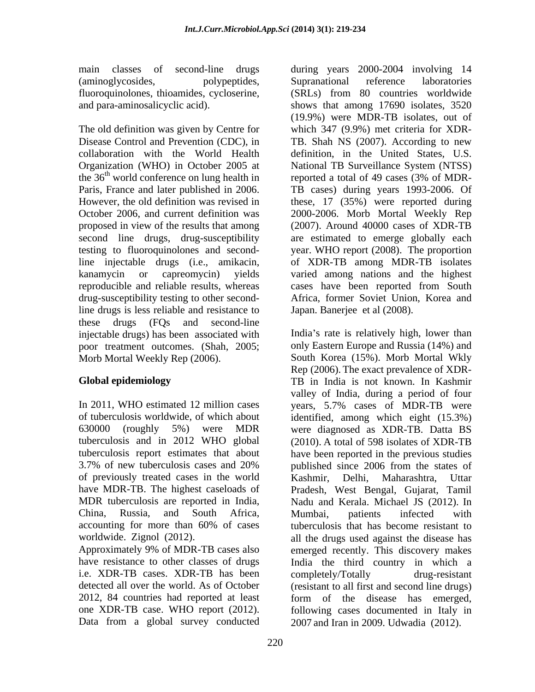main classes of second-line drugs during years 2000-2004 involving 14 (aminoglycosides, polypeptides,

The old definition was given by Centre for the  $36<sup>th</sup>$  world conference on lung health in reported a total of 49 cases (3% of MDRproposed in view of the results that among second line drugs, drug-susceptibility drug-susceptibility testing to other secondline drugs is less reliable and resistance to these drugs (FQs and second-line injectable drugs) has been associated with poor treatment outcomes.(Shah, 2005;

In 2011, WHO estimated 12 million cases vears, 5.7% cases of MDR-TB were of previously treated cases in the world MDR tuberculosis are reported in India,

i.e. XDR-TB cases. XDR-TB has been completely/Totally drug-resistant Data from a global survey conducted

fluoroquinolones, thioamides, cycloserine, (SRLs) from 80 countries worldwide and para-aminosalicyclic acid). shows that among 17690 isolates, 3520 Disease Control and Prevention (CDC), in TB. Shah NS (2007). According to new collaboration with the World Health definition, in the United States, U.S. Organization (WHO) in October 2005 at National TB Surveillance System (NTSS) Paris, France and later published in 2006. TB cases) during years 1993-2006. Of However, the old definition was revised in these, 17 (35%) were reported during October 2006, and current definition was 2000-2006. Morb Mortal Weekly Rep testing to fluoroquinolones and second-year. WHO report (2008). The proportion line injectable drugs (i.e., amikacin, of XDR-TB among MDR-TB isolates kanamycin or capreomycin) yields varied among nations and the highest reproducible and reliable results, whereas cases have been reported from South Supranational reference laboratories (19.9%) were MDR-TB isolates, out of which 347 (9.9%) met criteria for XDRreported a total of 49 cases (3% of MDR- (2007). Around 40000 cases of XDR-TB are estimated to emerge globally each Africa, former Soviet Union, Korea and Japan. Banerjee et al (2008).

Morb Mortal Weekly Rep (2006). South Korea (15%). Morb Mortal Wkly **Global epidemiology** TB in India is not known. In Kashmir of tuberculosis worldwide, of which about identified, among which eight (15.3%) 630000 (roughly 5%) were MDR were diagnosed as XDR-TB. Datta BS tuberculosis and in 2012 WHO global (2010). A total of 598 isolates of XDR-TB tuberculosis report estimates that about have been reported in the previous studies 3.7% of new tuberculosis cases and 20% have MDR-TB. The highest caseloads of Pradesh, West Bengal, Gujarat, Tamil China, Russia, and South Africa, accounting for more than 60% of cases tuberculosis that has become resistant to worldwide. Zignol (2012). **all the drugs used against the disease has** Approximately 9% of MDR-TB cases also emerged recently. This discovery makes have resistance to other classes of drugs India the third country in which a detected all over the world. As of October (resistant to all first and second line drugs) 2012, 84 countries had reported at least form of the disease has emerged, one XDR-TB case. WHO report (2012). following cases documented in Italy in India's rate is relatively high, lower than only Eastern Europe and Russia (14%) and Rep (2006). The exact prevalence of XDR valley of India, during a period of four years, 5.7% cases of MDR-TB were published since 2006 from the states of Kashmir, Delhi, Maharashtra, Uttar Nadu and Kerala. Michael JS (2012). In Mumbai, patients infected with tuberculosis that has become resistant to completely/Totally drug-resistant 2007 and Iran in 2009. Udwadia (2012).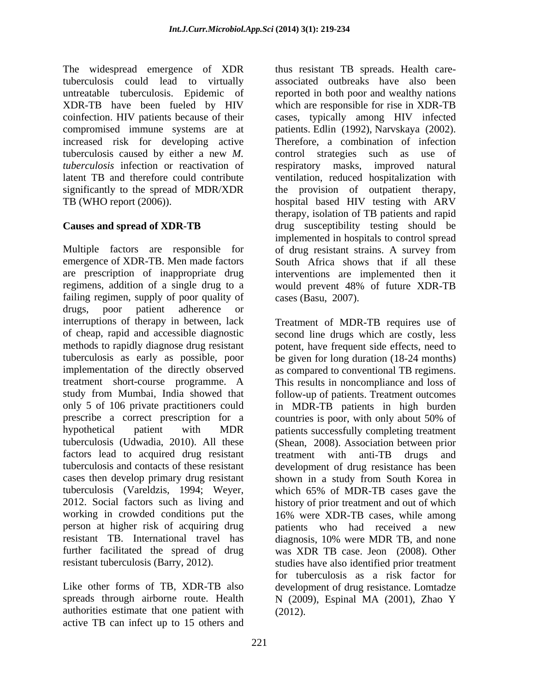*tuberculosis* infection or reactivation of respiratory masks, improved natural

Multiple factors are responsible for of drug resistant strains. A survey from emergence of XDR-TB. Men made factors South Africa shows that if all these are prescription of inappropriate drug interventions are implemented then it regimens, addition of a single drug to a failing regimen, supply of poor quality of drugs, poor patient adherence or interruptions of therapy in between, lack Treatment of MDR-TB requires use of of cheap, rapid and accessible diagnostic second line drugs which are costly, less methods to rapidly diagnose drug resistant potent, have frequent side effects, need to tuberculosis as early as possible, poor be given for long duration (18-24 months) implementation of the directly observed as compared to conventional TB regimens. treatment short-course programme. A This results in noncompliance and loss of study from Mumbai, India showed that follow-up of patients. Treatment outcomes only 5 of 106 private practitioners could in MDR-TB patients in high burden prescribe a correct prescription for a countries is poor, with only about 50% of hypothetical patient with MDR patients successfully completing treatment tuberculosis (Udwadia, 2010). All these (Shean, 2008). Association between prior factors lead to acquired drug resistant treatment with anti-TB drugs and tuberculosis and contacts of these resistant development of drug resistance has been cases then develop primary drug resistant shown in a study from South Korea in tuberculosis (Vareldzis, 1994; Weyer, which 65% of MDR-TB cases gave the 2012. Social factors such as living and history of prior treatment and out of which working in crowded conditions put the 16% were XDR-TB cases, while among person at higher risk of acquiring drug patients who had received a new resistant TB. International travel has diagnosis, 10% were MDR TB, and none further facilitated the spread of drug was XDR TB case. Jeon (2008). Other resistant tuberculosis (Barry, 2012). studies have also identified prior treatment

Like other forms of TB, XDR-TB also authorities estimate that one patient with active TB can infect up to 15 others and

The widespread emergence of XDR thus resistant TB spreads. Health care tuberculosis could lead to virtually associated outbreaks have also been untreatable tuberculosis. Epidemic of reported in both poor and wealthy nations XDR-TB have been fueled by HIV which are responsible for rise in XDR-TB coinfection. HIV patients because of their cases, typically among HIV infected compromised immune systems are at patients. Edlin (1992), Narvskaya (2002). increased risk for developing active Therefore, a combination of infection tuberculosis caused by either a new *M.*  control strategies such as use of latent TB and therefore could contribute ventilation, reduced hospitalization with significantly to the spread of MDR/XDR the provision of outpatient therapy, TB (WHO report (2006)). hospital based HIV testing with ARV **Causes and spread of XDR-TB** drug susceptibility testing should be respiratory masks, improved natural therapy, isolation of TB patients and rapid implemented in hospitals to control spread would prevent 48% of future XDR-TB cases (Basu, 2007).

spreads through airborne route. Health N (2009), Espinal MA (2001), Zhao Y countries is poor, with only about 50% of treatment with anti-TB drugs and which 65% of MDR-TB cases gave the history of prior treatment and out of which diagnosis, 10% were MDR TB, and none for tuberculosis as a risk factor for development of drug resistance. Lomtadze (2012).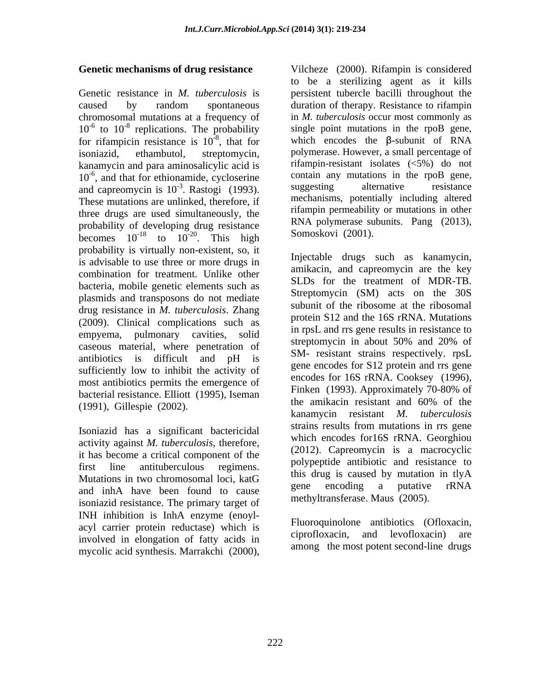chromosomal mutations at a frequency of for rifampicin resistance is  $10^{-8}$ , that for kanamycin and para aminosalicylic acid is These mutations are unlinked, therefore, if three drugs are used simultaneously, the probability of developing drug resistance<br>has not all the  $10^{-18}$  to  $10^{-20}$  This high Somoskovi (2001). becomes  $10^{-18}$  to  $10^{-20}$ . This high Somoskovi (2001). probability is virtually non-existent, so, it<br>is educable to use three or more drugs in Injectable drugs such as kanamycin, is advisable to use three or more drugs in combination for treatment. Unlike other bacteria, mobile genetic elements such as plasmids and transposons do not mediate drug resistance in *M. tuberculosis*. Zhang (2009). Clinical complications such as empyema, pulmonary cavities, solid<br>exercise streptomycin in about 50% and 20% of caseous material, where penetration of antibiotics is difficult and pH is sufficiently low to inhibit the activity of most antibiotics permits the emergence of<br>hasterial neglectors of Finken (1993). Approximately 70-80% of bacterial resistance. Elliott (1995), Iseman<br>the amikacin resistant and 60% of the<br> $(1993)$ . Approximately 70-80% of the Genetic mechanisms of drug resistance<br>
Worker as seritiving agent as it kills<br>
denote existing the probability and the methodology in Marriotonic the probability of the probability<br>
denote the synthesis. The probability o

activity against *M. tuberculosis*, therefore, it has become a critical component of the and inhA have been found to cause the encoding a putative rRNA isoniazid resistance. The primary target of INH inhibition is InhA enzyme (enoyl acyl carrier protein reductase) which is<br>investigated in the entire of fotographs in the correction of the entire in the correction of the correction of the correction of the correction of the correction of the correction involved in elongation of fatty acids in

**Genetic mechanisms of drug resistance** Vilcheze (2000). Rifampin is considered Genetic resistance in *M. tuberculosis* is persistent tubercle bacilli throughout the caused by random spontaneous duration of therapy. Resistance to rifampin  $10^{-6}$  to  $10^{-8}$  replications. The probability single point mutations in the rpoB gene, <sup>-8</sup> replications. The probability single point mutations in the rpoB gene,  $e^{-8}$ , that for which encodes the  $\beta$ -subunit of RNA isoniazid, ethambutol, streptomycin, polymerase. However, a small percentage of 10<sup>-6</sup>, and that for ethionamide, cycloserine contain any mutations in the rpoB gene, and capreomycin is 10<sup>-3</sup>. Rastogi (1993). Suggesting alternative resistance  $-3$   $\mathbf{P}_{\text{outer}}$  (1002) suggesting alternative resistance  $\frac{-20}{\pi}$   $\frac{\pi}{100}$   $\frac{1}{\pi}$   $\frac{50 \text{m} \times 100 \text{m}}{2001}$ . . This high  $501108K0VI$  (2001). to be a sterilizing agent as it kills in *M. tuberculosis* occur most commonly as rifampin-resistant isolates (<5%) do not contain any mutations in the rpoB gene, suggesting alternative resistance mechanisms, potentially including altered rifampin permeability or mutations in other RNA polymerase subunits. Pang (2013),

(1991), Gillespie (2002).<br>  $\begin{array}{ccc}\n\text{Use an maximum resistor} & \text{first and 00% of the  
\nkanamycin} & \text{resistant} & M. *tube truberculosis*\n  
\n**Isoniazid has a significant bactericidal**\n  
\n**11.1**\n**11.2**\n**12.3**\n**13.4**\n**14.5**\n**15.6**\n**16.7**\n**17.6**\n**18.7**\n**19.7**\n**11.8**$ first line antituberculous regimens. Polypepude antionolic and resistance to Mutations in two chromosomal loci, katG and the unit due is caused by indication in type Somoskovi (2001). Injectable drugs such as kanamycin, amikacin, and capreomycin are the key SLDs for the treatment of MDR-TB. Streptomycin (SM) acts on the 30S subunit of the ribosome at the ribosomal protein S12 and the 16S rRNA. Mutations in rpsL and rrs gene results in resistance to streptomycin in about 50% and 20% of SM- resistant strains respectively. rpsL gene encodes for S12 protein and rrs gene encodes for 16S rRNA. Cooksey (1996), Finken (1993). Approximately 70-80% of the amikacin resistant and 60% of the kanamycin resistant *M. tuberculosis* strains results from mutations in rrs gene which encodes for16S rRNA. Georghiou (2012). Capreomycin is a macrocyclic polypeptide antibiotic and resistance to this drug is caused by mutation in tlyA gene encoding a putative rRNA methyltransferase. Maus (2005).

> Fluoroquinolone antibiotics (Ofloxacin, ciprofloxacin, and levofloxacin) are among the most potent second-line drugs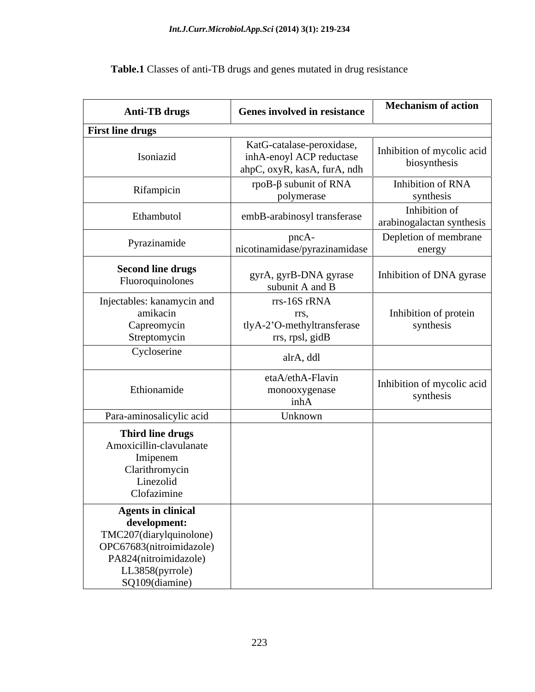| <b>Anti-TB</b> drugs                                                                                  | <b>Genes involved in resistance</b>                                                  | <b>Mechanism of action</b>                   |
|-------------------------------------------------------------------------------------------------------|--------------------------------------------------------------------------------------|----------------------------------------------|
| <b>First line drugs</b>                                                                               |                                                                                      |                                              |
| Isoniazid                                                                                             | KatG-catalase-peroxidase,<br>inhA-enoyl ACP reductase<br>ahpC, oxyR, kasA, furA, ndh | Inhibition of mycolic acid  <br>biosynthesis |
| Rifampicin                                                                                            | rpoB- $\beta$ subunit of RNA<br>polymerase                                           | Inhibition of RNA<br>synthesis               |
| Ethambutol                                                                                            | embB-arabinosyl transferase                                                          | Inhibition of<br>arabinogalactan synthesis   |
| Pyrazinamide                                                                                          | pncA-<br>nicotinamidase/pyrazinamidase                                               | Depletion of membrane<br>energy              |
| <b>Second line drugs</b><br>Fluoroquinolones                                                          | gyrA, gyrB-DNA gyrase<br>subunit A and B                                             | Inhibition of DNA gyrase                     |
| Injectables: kanamycin and<br>amikacin<br>Capreomycin<br>Streptomycin                                 | rrs-16S rRNA<br>rrs,<br>tlyA-2'O-methyltransferase<br>rrs, rpsl, gidB                | Inhibition of protein<br>synthesis           |
| Cycloserine                                                                                           | alrA, ddl                                                                            |                                              |
| Ethionamide                                                                                           | etaA/ethA-Flavin<br>monooxygenase<br>inhA                                            | Inhibition of mycolic acid<br>synthesis      |
| Para-aminosalicylic acid                                                                              | Unknown                                                                              |                                              |
| Third line drugs<br>Amoxicillin-clavulanate<br>Imipenem<br>Clarithromycin<br>Linezolid<br>Clofazimine |                                                                                      |                                              |
| <b>Agents in clinical</b>                                                                             |                                                                                      |                                              |
| development:                                                                                          |                                                                                      |                                              |
| TMC207(diarylquinolone)                                                                               |                                                                                      |                                              |
| OPC67683(nitroimidazole)                                                                              |                                                                                      |                                              |
| PA824(nitroimidazole)                                                                                 |                                                                                      |                                              |
| LL3858(pyrrole)<br>SQ109(diamine)                                                                     |                                                                                      |                                              |

**Table.1** Classes of anti-TB drugs and genes mutated in drug resistance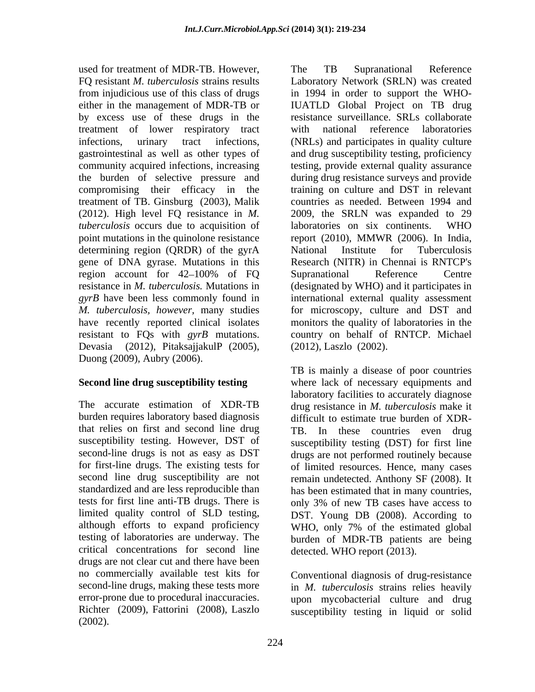used for treatment of MDR-TB. However, The TB Supranational Reference by excess use of these drugs in the treatment of lower respiratory tract the burden of selective pressure and compromising their efficacy in the treatment of TB. Ginsburg (2003), Malik *tuberculosis* occurs due to acquisition of laboratories on six continents. WHO point mutations in the quinolone resistance determining region (QRDR) of the gyrA National Institute for Tuberculosis gene of DNA gyrase. Mutations in this Devasia (2012), PitaksajjakulP (2005), Duong (2009), Aubry (2006).

tests for first line anti-TB drugs. There is limited quality control of SLD testing, critical concentrations for second line drugs are not clear cut and there have been no commercially available test kits for second-line drugs, making these tests more in *M. tuberculosis* strains relies heavily error-prone due to procedural inaccuracies. upon mycobacterial culture and drug Richter (2009), Fattorini (2008), Laszlo susceptibility testing in liquid or solid(2002).

FQ resistant *M. tuberculosis* strains results Laboratory Network (SRLN) was created from injudicious use of this class of drugs in 1994 in order to support the WHOeither in the management of MDR-TB or IUATLD Global Project on TB drug infections, urinary tract infections, (NRLs) and participates in quality culture gastrointestinal as well as other types of and drug susceptibility testing, proficiency community acquired infections, increasing testing, provide external quality assurance (2012). High level FQ resistance in *M.*  2009, the SRLN was expanded to 29 region account for 42–100% of FQ Supranational Reference Centre resistance in *M. tuberculosis.* Mutations in (designated by WHO) and it participates in *gyrB* have been less commonly found in international external quality assessment *M. tuberculosis, however,* many studies for microscopy, culture and DST and have recently reported clinical isolates monitors the quality of laboratories in the resistant to FQs with *gyrB* mutations. country on behalf of RNTCP. Michael The TB Supranational Reference resistance surveillance. SRLs collaborate with national reference laboratories during drug resistance surveys and provide training on culture and DST in relevant countries as needed. Between 1994 and laboratories on six continents. WHO report (2010), MMWR (2006). In India, National Institute for Tuberculosis Research (NITR) in Chennai is RNTCP's Supranational Reference Centre (2012), Laszlo (2002).

**Second line drug susceptibility testing** where lack of necessary equipments and The accurate estimation of XDR-TB drug resistance in *M. tuberculosis* make it burden requires laboratory based diagnosis difficult to estimate true burden of XDR that relies on first and second line drug TB. In these countries even drug susceptibility testing. However, DST of susceptibility testing (DST) for first line second-line drugs is not as easy as DST drugs are not performed routinely because for first-line drugs. The existing tests for of limited resources. Hence, many cases second line drug susceptibility are not remain undetected. Anthony SF (2008). It standardized and are less reproducible than has been estimated that in many countries, although efforts to expand proficiency WHO, only 7% of the estimated global testing of laboratories are underway. The burden of MDR-TB patients are being TB is mainly a disease of poor countries laboratory facilities to accurately diagnose only 3% of new TB cases have access to DST. Young DB (2008). According to detected. WHO report (2013).

Conventional diagnosis of drug-resistance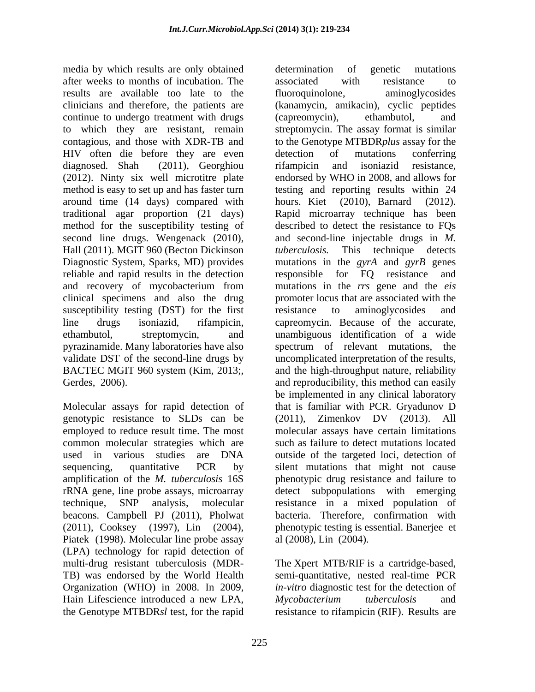media by which results are only obtained determination of genetic mutations after weeks to months of incubation. The results are available too late to the fluoroquinolone, aminoglycosides continue to undergo treatment with drugs (capreomycin), ethambutol, and to which they are resistant, remain streptomycin. The assay format is similar HIV often die before they are even detection of mutations conferring diagnosed. Shah (2011), Georghiou rifampicin and isoniazid resistance, (2012). Ninty six well microtitre plate around time (14 days) compared with method for the susceptibility testing of second line drugs. Wengenack (2010), Hall (2011). MGIT 960 (Becton Dickinson *tuberculosis.* reliable and rapid results in the detection responsible for FQ resistance and and recovery of mycobacterium from clinical specimens and also the drug susceptibility testing (DST) for the first resistance to aminoglycosides and

employed to reduce result time. The most common molecular strategies which are amplification of the *M. tuberculosis* 16S beacons. Campbell PJ (2011), Pholwat Piatek (1998). Molecular line probe assay (LPA) technology for rapid detection of multi-drug resistant tuberculosis (MDR- TB) was endorsed by the World Health semi-quantitative, nested real-time PCR Organization (WHO) in 2008. In 2009, *in-vitro* diagnostic test for the detection of Hain Lifescience introduced a new LPA, Mycobacterium tuberculosis and the Genotype MTBDR*sl* test, for the rapid resistance to rifampicin (RIF). Results are

clinicians and therefore, the patients are (kanamycin, amikacin), cyclic peptides to which they are resistant, remain streptomycin. The assay format is similar contagious, and those with XDR-TB and to the Genotype MTBDR*plus* assay for the method is easy to set up and has faster turn testing and reporting results within 24 traditional agar proportion (21 days) Rapid microarray technique has been Diagnostic System, Sparks, MD) provides mutations in the *gyrA* and *gyrB* genes line drugs isoniazid, rifampicin, capreomycin. Because of the accurate, ethambutol, streptomycin, and unambiguous identification of a wide pyrazinamide. Many laboratories have also spectrum of relevant mutations, the validate DST of the second-line drugs by uncomplicated interpretation of the results, BACTEC MGIT 960 system (Kim, 2013;, and the high-throughput nature, reliability<br>derdes, 2006). and reproducibility, this method can easily<br>be implemented in any clinical laboratory<br>Molecular assays for rapid detection of t genotypic resistance to SLDs can be (2011), Zimenkov DV (2013). All used in various studies are DNA outside of the targeted loci, detection of sequencing, quantitative PCR by silent mutations that might not cause rRNA gene, line probe assays, microarray detect subpopulations with emerging technique, SNP analysis, molecular resistance in a mixed population of (2011), Cooksey (1997), Lin (2004), phenotypic testing is essential. Banerjee et determination of genetic mutations associated with resistance to fluoroquinolone, aminoglycosides (capreomycin), ethambutol, and detection of mutations conferring rifampicin and isoniazid resistance, endorsed by WHO in 2008, and allows for hours. Kiet (2010), Barnard (2012). described to detect the resistance to FQs and second-line injectable drugs in *M.*  This technique detects responsible for FQ resistance mutations in the *rrs* gene and the *eis* promoter locus that are associated with the resistance to aminoglycosides and and the high-throughput nature, reliability and reproducibility, this method can easily be implemented in any clinical laboratory that is familiar with PCR. Gryadunov D molecular assays have certain limitations such as failure to detect mutations located phenotypic drug resistance and failure to bacteria. Therefore, confirmation with al (2008), Lin (2004).

> The Xpert MTB/RIF is a cartridge-based, *Mycobacterium tuberculosis* and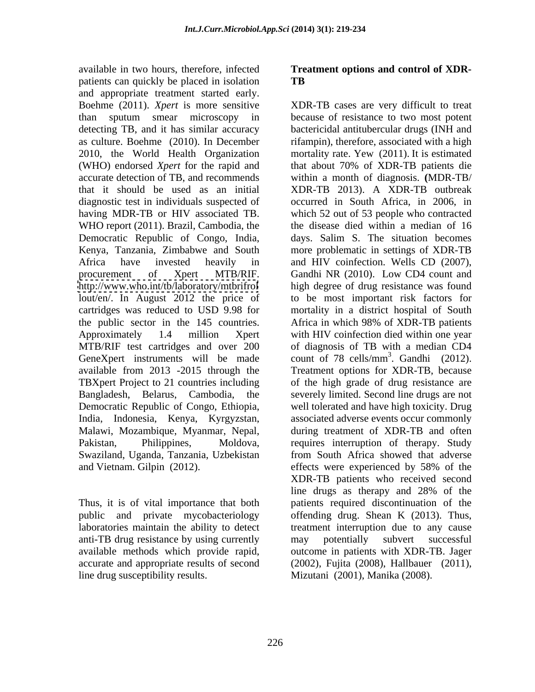available in two hours, therefore, infected **Treatment options and control of XDR** patients can quickly be placed in isolation TB and appropriate treatment started early. (WHO) endorsed *Xpert* for the rapid and Democratic Republic of Congo, India, the public sector in the 145 countries. Africa in which 98% of XDR-TB patients MTB/RIF test cartridges and over 200 Democratic Republic of Congo, Ethiopia,

anti-TB drug resistance by using currently available methods which provide rapid, line drug susceptibility results. Mizutani (2001), Manika (2008).

# **TB**

Boehme (2011). *Xpert* is more sensitive XDR-TB cases are very difficult to treat than sputum smear microscopy in because of resistance to two most potent detecting TB, and it has similar accuracy bactericidal antitubercular drugs (INH and as culture. Boehme (2010). In December rifampin), therefore, associated with a high 2010, the World Health Organization mortality rate. Yew (2011). It is estimated accurate detection of TB, and recommends within a month of diagnosis. **(**MDR-TB/ that it should be used as an initial XDR-TB 2013). A XDR-TB outbreak diagnostic test in individuals suspected of occurred in South Africa, in 2006, in having MDR-TB or HIV associated TB. which 52 out of 53 people who contracted WHO report (2011). Brazil, Cambodia, the the disease died within a median of 16 Kenya, Tanzania, Zimbabwe and South more problematic in settings of XDR-TB Africa have invested heavily in and HIV coinfection. Wells CD (2007), procurement of Xpert MTB/RIF. Gandhi NR (2010). Low CD4 count and <http://www.who.int/tb/laboratory/mtbrifrol> high degree of drug resistance was found lout/en/. In August 2012 the price of to be most important risk factors for cartridges was reduced to USD 9.98 for mortality in a district hospital of South Approximately 1.4 million Xpert with HIV coinfection died within one year GeneXpert instruments will be made count of 78 cells/mm<sup>3</sup>. Gandhi (2012). available from 2013 -2015 through the Treatment options for XDR-TB, because TBXpert Project to 21 countries including of the high grade of drug resistance are Bangladesh, Belarus, Cambodia, the severely limited. Second line drugs are not India, Indonesia, Kenya, Kyrgyzstan, associated adverse events occur commonly Malawi, Mozambique, Myanmar, Nepal, during treatment of XDR-TB and often Pakistan, Philippines, Moldova, requires interruption of therapy. Study Swaziland, Uganda, Tanzania, Uzbekistan from South Africa showed that adverse and Vietnam. Gilpin (2012). effects were experienced by 58% of the Thus, it is of vital importance that both patients required discontinuation of the public and private mycobacteriology offending drug. Shean K (2013). Thus, laboratories maintain the ability to detect treatment interruption due to any cause accurate and appropriate results of second (2002), Fujita (2008), Hallbauer (2011), that about 70% of XDR-TB patients die days. Salim S. The situation becomes Gandhi NR (2010). Low CD4 count and Africa in which 98% of XDR-TB patients of diagnosis of TB with a median CD4  $3$  Condhi (2012) well tolerated and have high toxicity. Drug XDR-TB patients who received second line drugs as therapy and 28% of the may potentially subvert successful outcome in patients with XDR-TB. Jager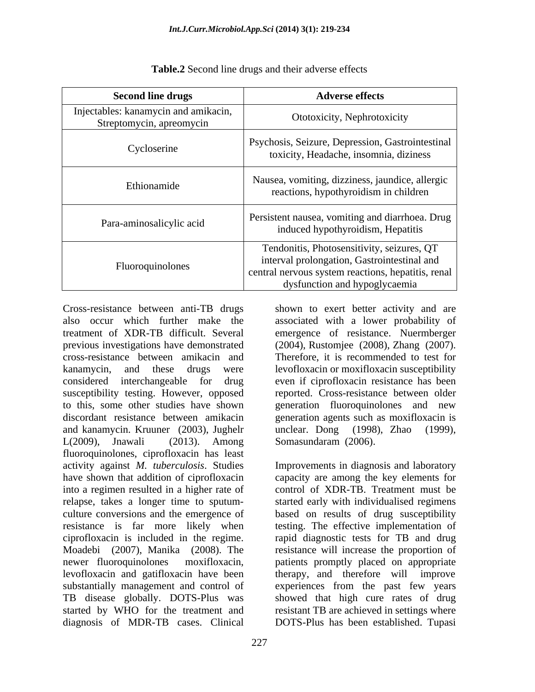| <b>Second line drugs</b>                                         | <b>Adverse effects</b>                                                                                                                                                           |  |
|------------------------------------------------------------------|----------------------------------------------------------------------------------------------------------------------------------------------------------------------------------|--|
| Injectables: kanamycin and amikacin,<br>Streptomycin, apreomycin | Ototoxicity, Nephrotoxicity                                                                                                                                                      |  |
| Cycloserine                                                      | Psychosis, Seizure, Depression, Gastrointestinal  <br>toxicity, Headache, insomnia, diziness                                                                                     |  |
| Ethionamide                                                      | Nausea, vomiting, dizziness, jaundice, allergic<br>reactions, hypothyroidism in children                                                                                         |  |
| Para-aminosalicylic acid                                         | Persistent nausea, vomiting and diarrhoea. Drug<br>induced hypothyroidism, Hepatitis                                                                                             |  |
| Fluoroquinolones                                                 | Tendonitis, Photosensitivity, seizures, QT<br>interval prolongation, Gastrointestinal and<br>central nervous system reactions, hepatitis, renal<br>dysfunction and hypoglycaemia |  |

**Table.2** Second line drugs and their adverse effects

Cross-resistance between anti-TB drugs shown to exert better activity and are treatment of XDR-TB difficult. Several previous investigations have demonstrated (2004), Rustomiee (2008), Zhang (2007). considered interchangeable for drug susceptibility testing. However, opposed to this, some other studies have shown generation fluoroquinolones and new and kanamycin. Kruuner (2003), Jughelr fluoroquinolones, ciprofloxacin has least activity against *M. tuberculosis*. Studies Improvements in diagnosis and laboratory have shown that addition of ciprofloxacin capacity are among the key elements for into a regimen resulted in a higher rate of control of XDR-TB. Treatment must be relapse, takes a longer time to sputum- started early with individualised regimens culture conversions and the emergence of based on results of drug susceptibility resistance is far more likely when testing. The effective implementation of ciprofloxacin is included in the regime. rapid diagnostic tests for TB and drug Moadebi (2007), Manika (2008). The resistance will increase the proportion of newer fluoroquinolones moxifloxacin, patients promptly placed on appropriate<br>levofloxacin and gatifloxacin have been therapy, and therefore will improve substantially management and control of experiences from the past few years TB disease globally. DOTS-Plus was showed that high cure rates of drug started by WHO for the treatment and resistant TB are achieved in settings where diagnosis of MDR-TB cases. Clinical DOTS-Plus has been established. Tupasi

also occur which further make the associated with a lower probability of cross-resistance between amikacin and Therefore, it is recommended to test for kanamycin, and these drugs were levofloxacin or moxifloxacin susceptibility discordant resistance between amikacin generation agents such as moxifloxacin is L(2009), Jnawali (2013). Among Somasundaram (2006). emergence of resistance. Nuermberger (2004), Rustomjee (2008), Zhang (2007). even if ciprofloxacin resistance has been reported. Cross-resistance between older generation fluoroquinolones and new unclear. Dong (1998), Zhao (1999),

> patients promptly placed on appropriate therapy, and therefore will improve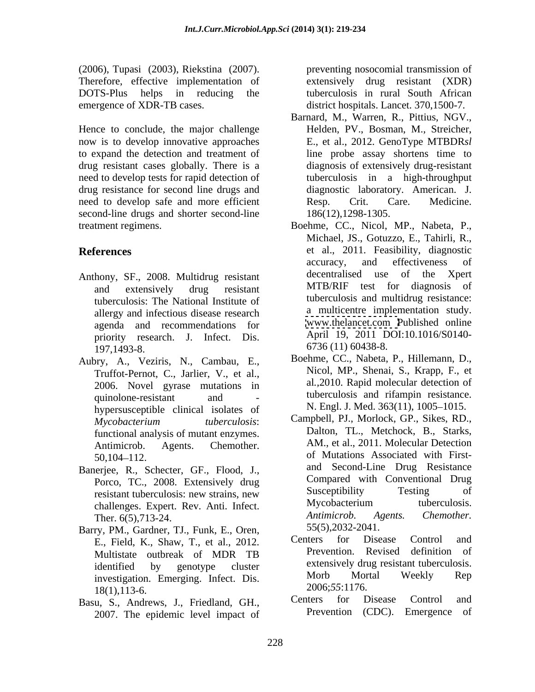(2006), Tupasi (2003), Riekstina (2007). Therefore, effective implementation of DOTS-Plus helps in reducing the tuberculosis in rural South African emergence of XDR-TB cases. district hospitals. Lancet. 370,1500-7.

Hence to conclude, the major challenge now is to develop innovative approaches to expand the detection and treatment of drug resistant cases globally. There is a need to develop tests for rapid detection of drug resistance for second line drugs and need to develop safe and more efficient Resp. Crit. Care. Medicine. second-line drugs and shorter second-line

- tuberculosis: The National Institute of agenda and recommendations for priority research. J. Infect. Dis.  $197,1493-8.$  6/36 (11) 60438-8.
- Aubry, A., Veziris, N., Cambau, E., Truffot-Pernot, C., Jarlier, V., et al., 2006. Novel gyrase mutations in hypersusceptible clinical isolates of functional analysis of mutant enzymes.
- Banerjee, R., Schecter, GF., Flood, J., Ther. 6(5),713-24.
- Barry, PM., Gardner, TJ., Funk, E., Oren,  $55(5)$ ,  $2032-2041$ .<br>E Field K, Shaw T, et al. 2012 Centers for Disease Control and E., Field, K., Shaw, T., et al., 2012.  $18(1), 113-6.$   $2006; 55: 11/6.$
- 2007. The epidemic level impact of

preventing nosocomial transmission of extensively drug resistant (XDR)

- Barnard, M., Warren, R., Pittius, NGV., Helden, PV., Bosman, M., Streicher, E., et al., 2012. GenoType MTBDR*sl* line probe assay shortens time to diagnosis of extensively drug-resistant tuberculosis in a high-throughput diagnostic laboratory. American. J. Resp. Crit. Care. Medicine. 186(12),1298-1305.
- treatment regimens. Boehme, CC., Nicol, MP., Nabeta, P., **References** et al., 2011. Feasibility, diagnostic Anthony, SF., 2008. Multidrug resistant decentralised use of the Xpert and extensively drug resistant MIB/RIF test for diagnosis of allergy and infectious disease research<br>agenda and recommendations for www.thelancet.com Published online Michael, JS., Gotuzzo, E., Tahirli, R., accuracy, and effectiveness of decentralised use of the MTB/RIF test for diagnosis of tuberculosis and multidrug resistance: a multicentre implementation study. [www.thelancet.com](http://www.thelancet.com) Published online April 19, 2011 DOI:10.1016/S0140- 6736 (11) 60438-8.
	- quinolone-resistant and tuberculosis and ritampin resistance. Boehme, CC., Nabeta, P., Hillemann, D., Nicol, MP., Shenai, S., Krapp, F., et al*.,*2010. Rapid molecular detection of tuberculosis and rifampin resistance. N. Engl. J. Med. 363(11), 1005–1015.
	- *Mycobacterium tuberculosis*: Antimicrob. Agents. Chemother. AM., et al., 2011. Molecular Detection 50,104–112. **Solutions** of Mutations Associated with First-Porco, TC., 2008. Extensively drug Compared with Conventional Drug<br>resistant tuberculosis: new strains new Susceptibility Testing of resistant tuberculosis: new strains, new Susceptibility I esting of challenges. Expert. Rev. Anti. Infect. Mycobacterium tuberculosis.<br>Ther 6(5) 713.24 *Antimicrob. Agents. Chemother.* Campbell, PJ., Morlock, GP., Sikes, RD., Dalton, TL., Metchock, B., Starks, of Mutations Associated with First and Second-Line Drug Resistance Compared with Conventional Drug Susceptibility Testing of Mycobacterium tuberculosis. *Antimicrob. Agents. Chemother.* 55(5),2032-2041.
	- Multistate outbreak of MDR TB identified by genotype cluster extensively drug resistant tuberculosis. investigation. Emerging. Infect. Dis. Morb Mortal Weekly Rep<br>18(1) 113.6 2006;55:1176. Centers for Disease Control and Prevention. Revised definition of extensively drug resistant tuberculosis. Morb Mortal Weekly Rep 2006;*55*:1176.
- Basu, S., Andrews, J., Friedland, GH., Centers for Disease Control and Centers for Disease Control and Prevention (CDC). Emergence of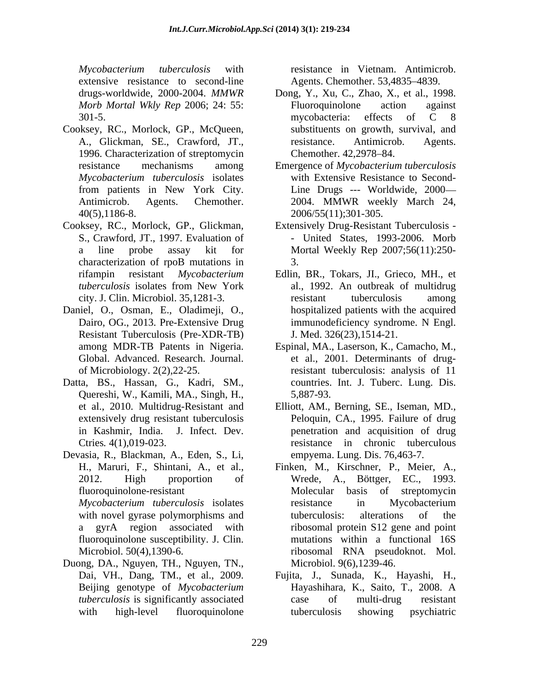*Mycobacterium tuberculosis* with extensive resistance to second-line

- Cooksey, RC., Morlock, GP., McQueen,
- Cooksey, RC., Morlock, GP., Glickman, characterization of rpoB mutations in 3.
- Daniel, O., Osman, E., Oladimeji, O., Resistant Tuberculosis (Pre-XDR-TB)
- Datta, BS., Hassan, G., Kadri, SM., Quereshi, W., Kamili, MA., Singh, H.,
- Devasia, R., Blackman, A., Eden, S., Li,
- Duong, DA., Nguyen, TH., Nguyen, TN.,

resistance in Vietnam. Antimicrob. Agents. Chemother. 53,4835–4839.

- drugs-worldwide, 2000-2004. *MMWR*  Dong, Y., Xu, C., Zhao, X., et al., 1998. *Morb Mortal Wkly Rep* 2006; 24: 55: 301-5. The mucobacteria: effects of C 8 A., Glickman, SE., Crawford, JT., resistance. Antimicrob. Agents.<br>1996. Characterization of streptomycin Chemother. 42,2978–84. Fluoroquinolone action against mycobacteria: effects of C 8 substituents on growth, survival, and resistance. Antimicrob. Agents. Chemother. 42,2978–84.
- resistance mechanisms among Emergence of *Mycobacterium tuberculosis Mycobacterium tuberculosis* isolates with Extensive Resistance to Second from patients in New York City. Line Drugs --- Worldwide, 2000 Antimicrob. Agents. Chemother. 2004. MMWR weekly March 24, 40(5),1186-8. 2006/55(11);301-305.
- S., Crawford, JT., 1997. Evaluation of United States, 1993-2006. Morb a line probe assay kit for Mortal Weekly Rep 2007;56(11):250- Extensively Drug-Resistant Tuberculosis - 3.
- rifampin resistant *Mycobacterium*  Edlin, BR., Tokars, JI., Grieco, MH., et *tuberculosis* isolates from New York city. J. Clin. Microbiol. 35,1281-3. Dairo, OG., 2013. Pre-Extensive Drug immunodeficiency syndrome. N Engl. al., 1992. An outbreak of multidrug resistant tuberculosis among hospitalized patients with the acquired immunodeficiency syndrome. N Engl. J. Med. 326(23),1514-21.
- among MDR-TB Patents in Nigeria. Espinal, MA., Laserson, K., Camacho, M., Global. Advanced. Research. Journal. et al., 2001. Determinants of drugof Microbiology. 2(2),22-25. resistant tuberculosis: analysis of 11 countries. Int. J. Tuberc. Lung. Dis. 5,887-93.
- et al., 2010. Multidrug-Resistant and Elliott, AM., Berning, SE., Iseman, MD., extensively drug resistant tuberculosis Peloquin, CA., 1995. Failure of drug in Kashmir, India. J. Infect. Dev. penetration and acquisition of drug Ctries*.* 4(1),019-023. resistance in chronic tuberculous empyema. Lung. Dis. 76,463-7.
- H., Maruri, F., Shintani, A., et al., Finken, M., Kirschner, P., Meier, A., Wrede, A., Böttger, EC., 1993. 2012. High proportion of Wrede, A., Böttger, EC., 1993. fluoroquinolone-resistant Molecular basis of streptomycin *Mycobacterium tuberculosis* isolates with novel gyrase polymorphisms and tuberculosis: alterations of the a gyrA region associated with ribosomal protein S12 gene and point fluoroquinolone susceptibility. J. Clin. mutations within a functional 16S Microbiol. 50(4),1390-6. ribosomal RNA pseudoknot. Mol. Molecular basis of streptomycin resistance in Mycobacterium tuberculosis: alterations of the Microbiol. 9(6),1239-46.
- Dai, VH., Dang, TM., et al., 2009. Fujita, J., Sunada, K., Hayashi, H., Beijing genotype of *Mycobacterium tuberculosis* is significantly associated case of multi-drug resistant with high-level fluoroquinolone Fujita, J., Sunada, K., Hayashi, H., Hayashihara, K., Saito, T., 2008. <sup>A</sup> case of multi-drug resistant tuberculosis showing psychiatric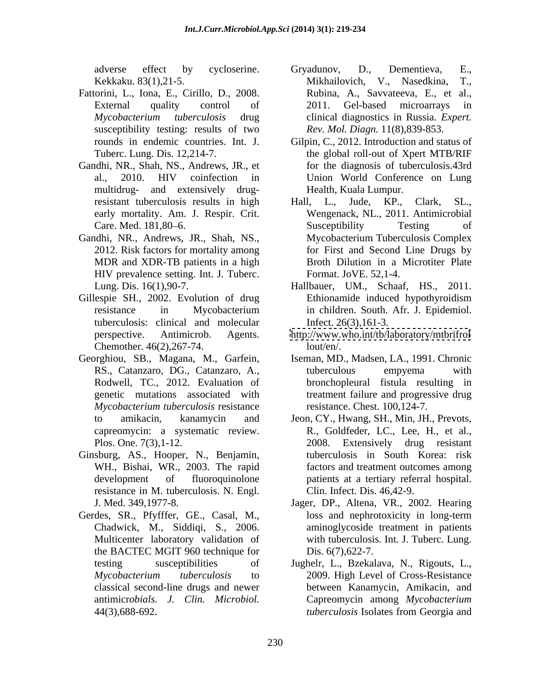- Fattorini, L., Iona, E., Cirillo, D., 2008. susceptibility testing: results of two
- Gandhi, NR., Shah, NS., Andrews, JR., et multidrug- and extensively drugearly mortality. Am. J. Respir. Crit.
- Gandhi, NR., Andrews, JR., Shah, NS., MDR and XDR-TB patients in a high HIV prevalence setting. Int. J. Tuberc.
- Gillespie SH., 2002. Evolution of drug Ethionamide induced hypothyroidism tuberculosis: clinical and molecular Chemother. 46(2),267-74.
- Rodwell, TC., 2012. Evaluation of *Mycobacterium tuberculosis* resistance
- Ginsburg, AS., Hooper, N., Benjamin, WH., Bishai, WR., 2003. The rapid resistance in M. tuberculosis. N. Engl.
- Gerdes, SR., Pfyfffer, GE., Casal, M., the BACTEC MGIT 960 technique for
- adverse effect by cycloserine. Gryadunov, D., Dementieva, E., Kekkaku. 83(1),21-5. Mikhailovich, V., Nasedkina, T., External quality control of 2011. Gel-based microarrays in *Mycobacterium tuberculosis* drug clinical diagnostics in Russia. *Expert.* Gryadunov, D., Dementieva, E.,<br>Mikhailovich, V., Nasedkina, T., Rubina, A., Savvateeva, E., et al., 2011. Gel-based microarrays in *Rev. Mol. Diagn.* 11(8),839-853.
- rounds in endemic countries. Int. J. Gilpin, C., 2012. Introduction and status of Tuberc. Lung. Dis. 12,214-7. the global roll-out of Xpert MTB/RIF al., 2010. HIV coinfection in Union World Conference on Lung for the diagnosis of tuberculosis.43rd Health, Kuala Lumpur.
- resistant tuberculosis results in high Hall, L., Jude, KP., Clark, SL., Care. Med. 181,80–6. Susceptibility Testing of 2012. Risk factors for mortality among for First and Second Line Drugs by Hall, L., Jude, KP., Clark, SL., Wengenack, NL., 2011. Antimicrobial Susceptibility Testing of Mycobacterium Tuberculosis Complex Broth Dilution in a Microtiter Plate Format. JoVE. 52,1-4.
- Lung. Dis. 16(1),90-7. Hallbauer, UM., Schaaf, HS., 2011. resistance in Mycobacterium in children. South. Afr. J. Epidemiol. Ethionamide induced hypothyroidism in children. South. Afr. J. Epidemiol. Infect. 26(3),161-3.
- perspective. Antimicrob. Agents. <http://www.who.int/tb/laboratory/mtbrifrol> lout/en/.
- Georghiou, SB., Magana, M., Garfein, Iseman, MD., Madsen, LA., 1991. Chronic RS., Catanzaro, DG., Catanzaro, A., tuberculous empyema with genetic mutations associated with treatment failure and progressive drug tuberculous empyema with bronchopleural fistula resulting in resistance. Chest. 100,124-7.
	- to amikacin, kanamycin and Jeon, CY., Hwang, SH., Min, JH., Prevots, capreomycin: a systematic review. R., Goldfeder, LC., Lee, H., et al., Plos. One. 7(3), 1-12. 2008. Extensively drug resistant development of fluoroquinolone patients at a tertiary referral hospital. 2008. Extensively drug resistant tuberculosis in South Korea: risk factors and treatment outcomes among Clin. Infect. Dis. 46,42-9.
	- J. Med. 349,1977-8. Jager, DP., Altena, VR., 2002. Hearing Chadwick, M., Siddiqi, S., 2006. aminoglycoside treatment in patients Multicenter laboratory validation of with tuberculosis. Int. J. Tuberc. Lung. loss and nephrotoxicity in long-term Dis.  $6(7)$ , 622-7.
	- testing susceptibilities of Jughelr, L., Bzekalava, N., Rigouts, L., *Mycobacterium tuberculosis* to 2009. High Level of Cross-Resistance classical second-line drugs and newer between Kanamycin, Amikacin, and antimicr*obials. J. Clin. Microbiol.* Capreomycin among *Mycobacterium*  44(3),688-692. The example is the example of the three three terms of the example of the terms of the terms of the terms of the terms of the terms of the terms of the terms of the terms of the terms of the terms of the ter *tuberculosis* Isolates from Georgia and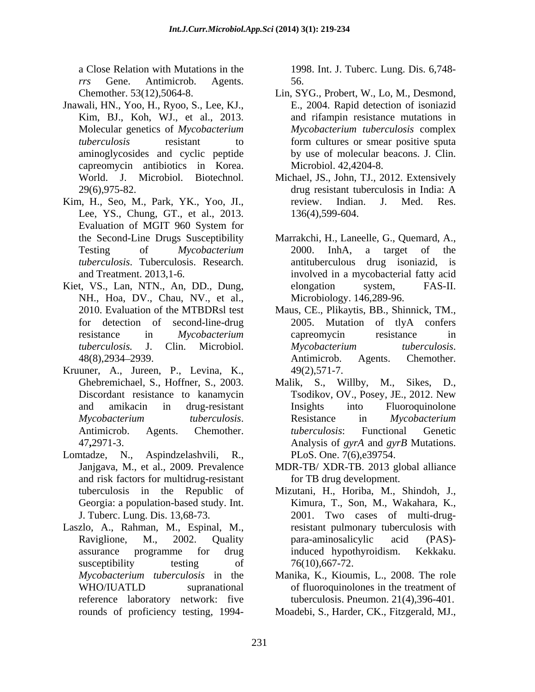a Close Relation with Mutations in the 1998. Int. J. Tuberc. Lung. Dis. 6,748 *rrs* Gene. Antimicrob. Agents.

- Jnawali, HN., Yoo, H., Ryoo, S., Lee, KJ., E., 2004. Rapid detection of isoniazid<br>Kim, BJ., Koh, WJ., et al., 2013. and rifampin resistance mutations in Molecular genetics of *Mycobacterium*  capreomycin antibiotics in Korea.
- Kim, H., Seo, M., Park, YK., Yoo, JI., review. Indian. J. Med. Res. Lee, YS., Chung, GT., et al., 2013. Evaluation of MGIT 960 System for
- Kiet, VS., Lan, NTN., An, DD., Dung, elongation system, FAS-II. NH., Hoa, DV., Chau, NV., et al.,
- Kruuner, A., Jureen, P., Levina, K.,
- Lomtadze, N., Aspindzelashvili, R., PLoS. One. 7(6),e39754. and risk factors for multidrug-resistant
- Laszlo, A., Rahman, M., Espinal, M., susceptibility testing of  $76(10), 667-72$ . reference laboratory network: five

56.

- Chemother. 53(12),5064-8. Lin, SYG., Probert, W., Lo, M., Desmond, *tuberculosis* resistant to form cultures or smear positive sputa aminoglycosides and cyclic peptide by use of molecular beacons. J. Clin. E., 2004. Rapid detection of isoniazid *Mycobacterium tuberculosis* complex form cultures or smear positive sputa Microbiol. 42,4204-8.
- World. J. Microbiol. Biotechnol. Michael, JS., John, TJ., 2012. Extensively 29(6),975-82. drug resistant tuberculosis in India: A drug resistant tuberculosis in India: A review. Indian. J. Med. Res. 136(4),599-604.
- the Second-Line Drugs Susceptibility Marrakchi, H., Laneelle, G., Quemard, A., Testing of *Mycobacterium tuberculosis*. Tuberculosis. Research. antituberculous drug isoniazid, is and Treatment. 2013,1-6. involved in a mycobacterial fatty acid 2000. InhA, a target of the elongation system, FAS-II. Microbiology. 146,289-96.
- 2010. Evaluation of the MTBDRsl test Maus, CE., Plikaytis, BB., Shinnick, TM., for detection of second-line-drug 2005. Mutation of tlyA confers resistance in *Mycobacterium tuberculosis.* J. Clin. Microbiol. 48(8), 2934–2939. **Antimicrob.** Agents. Chemother. Maus, CE., Plikaytis, BB., Shinnick, TM., 2005. Mutation of tlyA confers capreomycin resistance in *Mycobacterium tuberculosis*. Antimicrob. Agents. Chemother.<br>49(2),571-7.
- Ghebremichael, S., Hoffner, S., 2003. Malik, S., Willby, M., Sikes, D., Discordant resistance to kanamycin Tsodikov, OV., Posey, JE., 2012. New and amikacin in drug-resistant *Mycobacterium tuberculosis*. Antimicrob. Agents. Chemother. 47**,**2971-3. Analysis of *gyrA* and *gyrB* Mutations. Insights into Fluoroquinolone Resistance in *Mycobacterium tuberculosis*: Functional Genetic
- Janjgava, M., et al., 2009. Prevalence MDR-TB/ XDR-TB. 2013 global alliance for TB drug development.
- tuberculosis in the Republic of Georgia: a population-based study. Int. Kimura, T., Son, M., Wakahara, K., J. Tuberc. Lung. Dis. 13,68-73. Raviglione, M., 2002. Quality assurance programme for drug Mizutani, H., Horiba, M., Shindoh, J., Kimura, T., Son, M., Wakahara, K., 2001. Two cases of multi-drugresistant pulmonary tuberculosis with para-aminosalicylic acid (PAS) induced hypothyroidism. Kekkaku. 76(10),667-72.
- *Mycobacterium tuberculosis* in the Manika, K., Kioumis, L., 2008. The role WHO/IUATLD supranational of fluoroquinolones in the treatment of of fluoroquinolones in the treatment of tuberculosis. Pneumon. 21(4),396-401.
- rounds of proficiency testing, 1994- Moadebi, S., Harder, CK., Fitzgerald, MJ.,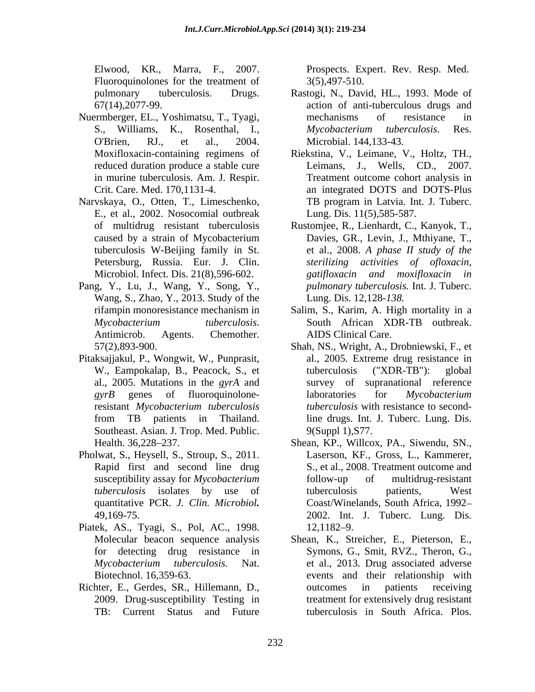Elwood, KR., Marra, F., 2007. Prospects. Expert. Rev. Resp. Med. Fluoroquinolones for the treatment of  $3(5)$ , 497-510.

- Nuermberger, EL., Yoshimatsu, T., Tyagi,
- Narvskaya, O., Otten, T., Limeschenko, E., et al., 2002. Nosocomial outbreak
- Pang, Y., Lu, J., Wang, Y., Song, Y., Wang, S., Zhao, Y., 2013. Study of the
- Pitaksajjakul, P., Wongwit, W., Punprasit, Southeast. Asian. J. Trop. Med. Public.
- Pholwat, S., Heysell, S., Stroup, S., 2011.
- Piatek, AS., Tyagi, S., Pol, AC., 1998.
- Richter, E., Gerdes, SR., Hillemann, D., 2009. Drug-susceptibility Testing in

3(5),497-510.

- pulmonary tuberculosis. Drugs. Rastogi, N., David, HL., 1993. Mode of  $67(14)$ ,2077-99. S., Williams, K., Rosenthal, I., Mycobacterium tuberculosis. Res. O'Brien, RJ., et al., 2004. Microbial. 144,133-43. Rastogi, N., David, HL., 1993. Mode of action of anti-tuberculous drugs and mechanisms of resistance in *Mycobacterium tuberculosis*. Res.
- Moxifloxacin-containing regimens of Riekstina, V., Leimane, V., Holtz, TH., reduced duration produce a stable cure Leimans, J., Wells, CD., 2007. in murine tuberculosis. Am. J. Respir. Treatment outcome cohort analysis in Crit. Care. Med. 170,1131-4. an integrated DOTS and DOTS-Plus TB program in Latvia. Int. J. Tuberc. Lung. Dis. 11(5),585-587.
- of multidrug resistant tuberculosis Rustomjee, R., Lienhardt, C., Kanyok, T., caused by a strain of Mycobacterium Davies, GR., Levin, J., Mthiyane, T., tuberculosis W-Beijing family in St. et al., 2008. *A phase II study of the* Petersburg, Russia. Eur. J. Clin. *sterilizing activities of ofloxacin,* Microbiol. Infect. Dis. 21(8),596-602. *gatifloxacin and moxifloxacin in pulmonary tuberculosis.* Int. J. Tuberc. Lung. Dis. 12,128*-138.*
- rifampin monoresistance mechanism in Salim, S., Karim, A. High mortality in a *Mycobacterium tuberculosis*. South African XDR-TB outbreak.<br>Antimicrob. Agents. Chemother. AIDS Clinical Care. South African XDR-TB outbreak. AIDS Clinical Care.
- 57(2),893-900. Shah, NS., Wright, A., Drobniewski, F., et W., Eampokalap, B., Peacock, S., et tuberculosis ("XDR-TB"): global al., 2005. Mutations in the *gyrA* and survey of supranational reference gyrB genes of fluoroquinolone-<br>laboratories for *Mycobacterium* resistant *Mycobacterium tuberculosis tuberculosis* with resistance to secondfrom TB patients in Thailand. al., 2005. Extreme drug resistance in tuberculosis ("XDR-TB"): global laboratories for *Mycobacterium*  line drugs. Int. J. Tuberc. Lung. Dis. 9(Suppl 1),S77.
- Health. 36,228–237. Shean, KP., Willcox, PA., Siwendu, SN., Rapid first and second line drug S., et al., 2008. Treatment outcome and susceptibility assay for *Mycobacterium tuberculosis* isolates by use of quantitative PCR. *J. Clin. Microbiol.* Coast/Winelands, South Africa, 1992 49,169-75. 2002. Int. J. Tuberc. Lung. Dis. Laserson, KF., Gross, L., Kammerer, follow-up of multidrug-resistant tuberculosis patients, West 12,1182–9.
- Molecular beacon sequence analysis Shean, K., Streicher, E., Pieterson, E., for detecting drug resistance in Symons, G., Smit, RVZ., Theron, G., *Mycobacterium tuberculosis.* Nat. et al., 2013. Drug associated adverse Biotechnol. 16,359-63. events and their relationship with TB: Current Status and Future tuberculosis in South Africa. Plos.outcomes in patients receiving treatment for extensively drug resistant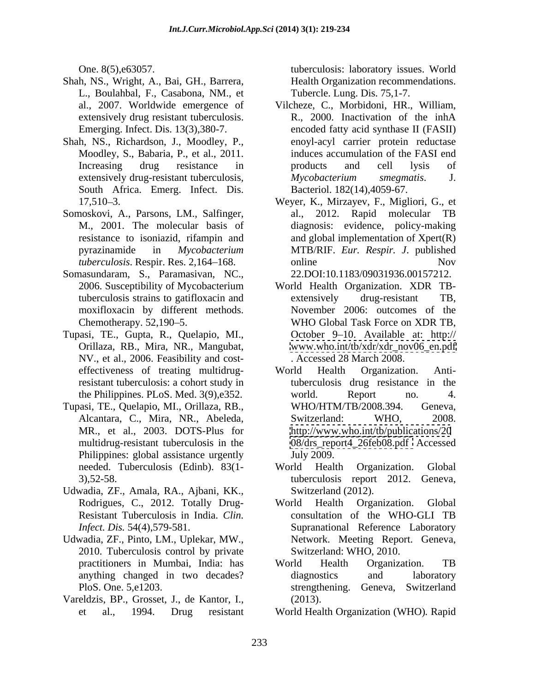- Shah, NS., Wright, A., Bai, GH., Barrera, L., Boulahbal, F., Casabona, NM., et
- Shah, NS., Richardson, J., Moodley, P., Moodley, S., Babaria, P., et al., 2011. South Africa. Emerg. Infect. Dis.
- Somoskovi, A., Parsons, LM., Salfinger,
- Somasundaram, S., Paramasivan, NC., moxifloxacin by different methods.
- Tupasi, TE., Gupta, R., Quelapio, MI., NV., et al., 2006. Feasibility and cost resistant tuberculosis: a cohort study in
- Tupasi, TE., Quelapio, MI., Orillaza, RB., MR., et al., 2003. DOTS-Plus for Philippines: global assistance urgently July 2009.
- Udwadia, ZF., Amala, RA., Ajbani, KK.,
- Udwadia, ZF., Pinto, LM., Uplekar, MW., 2010. Tuberculosis control by private
- Vareldzis, BP., Grosset, J., de Kantor, I.,

One. 8(5),e63057. tuberculosis: laboratory issues. World Health Organization recommendations. Tubercle. Lung. Dis. 75,1-7.

- al., 2007. Worldwide emergence of Vilcheze, C., Morbidoni, HR., William, extensively drug resistant tuberculosis. <br>R., 2000. Inactivation of the inhA Emerging. Infect. Dis. 13(3),380-7. encoded fatty acid synthase II (FASII) Increasing drug resistance in products and cell lysis of extensively drug-resistant tuberculosis, *Mycobacterium* smegmatis. J. R., 2000. Inactivation of the inhA enoyl-acyl carrier protein reductase induces accumulation of the FASI end products and cell lysis of *Mycobacterium smegmatis*. J. Bacteriol. 182(14),4059-67.
- 17,510 3. Weyer, K., Mirzayev, F., Migliori, G., et M., 2001. The molecular basis of diagnosis: evidence, policy-making resistance to isoniazid, rifampin and and global implementation of Xpert(R) pyrazinamide in *Mycobacterium*  MTB/RIF. *Eur. Respir. J*. published *tuberculosis*. Respir. Res. 2,164–168. **In a set of the contract of the contract of the contract of the contract of the contract of the contract of the contract of the contract of the contract of the contract of the contr** al., 2012. Rapid molecular TB online Nov 22.DOI:10.1183/09031936.00157212.
- 2006. Susceptibility of Mycobacterium World Health Organization. XDR TB tuberculosis strains to gatifloxacin and extensively drug-resistant TB, Chemotherapy. 52,190–5. WHO Global Task Force on XDR TB, Orillaza, RB., Mira, NR., Mangubat, [www.who.int/tb/xdr/xdr\\_nov06\\_en.pdf](http://www.who.int/tb/xdr/xdr_nov06_en.pdf) extensively drug-resistant TB, November 2006: outcomes of the October 9–10. Available at: http:// . Accessed 28 March 2008.
- effectiveness of treating multidrug-<br>World Health Organization. Antithe Philippines. PLoS. Med. 3(9),e352. Alcantara, C., Mira, NR., Abeleda, multidrug-resistant tuberculosis in the [08/drs\\_report4\\_26feb08.pdf](08/drs_report4_26feb08.pdf) Accessed World Health Organization. Antituberculosis drug resistance in the world. Report no. 4. WHO/HTM/TB/2008.394. Switzerland: WHO, 2008. <http://www.who.int/tb/publications/20> July 2009.
- needed. Tuberculosis (Edinb). 83(1- 3),52-58. tuberculosis report 2012. Geneva, World Health Organization. Global Switzerland (2012).
- Rodrigues, C., 2012. Totally Drug-<br>World Health Organization. Global Resistant Tuberculosis in India. *Clin.*  consultation of the WHO-GLI TB *Infect. Dis.* 54(4),579-581. Supranational Reference Laboratory World Health Organization. Global Network. Meeting Report. Geneva, Switzerland: WHO, 2010.
- practitioners in Mumbai, India: has anything changed in two decades? PloS. One. 5,e1203. strengthening. Geneva, Switzerland World Health Organization. TB diagnostics and laboratory (2013).
- et al., 1994. Drug resistant World Health Organization (WHO)*.* Rapid